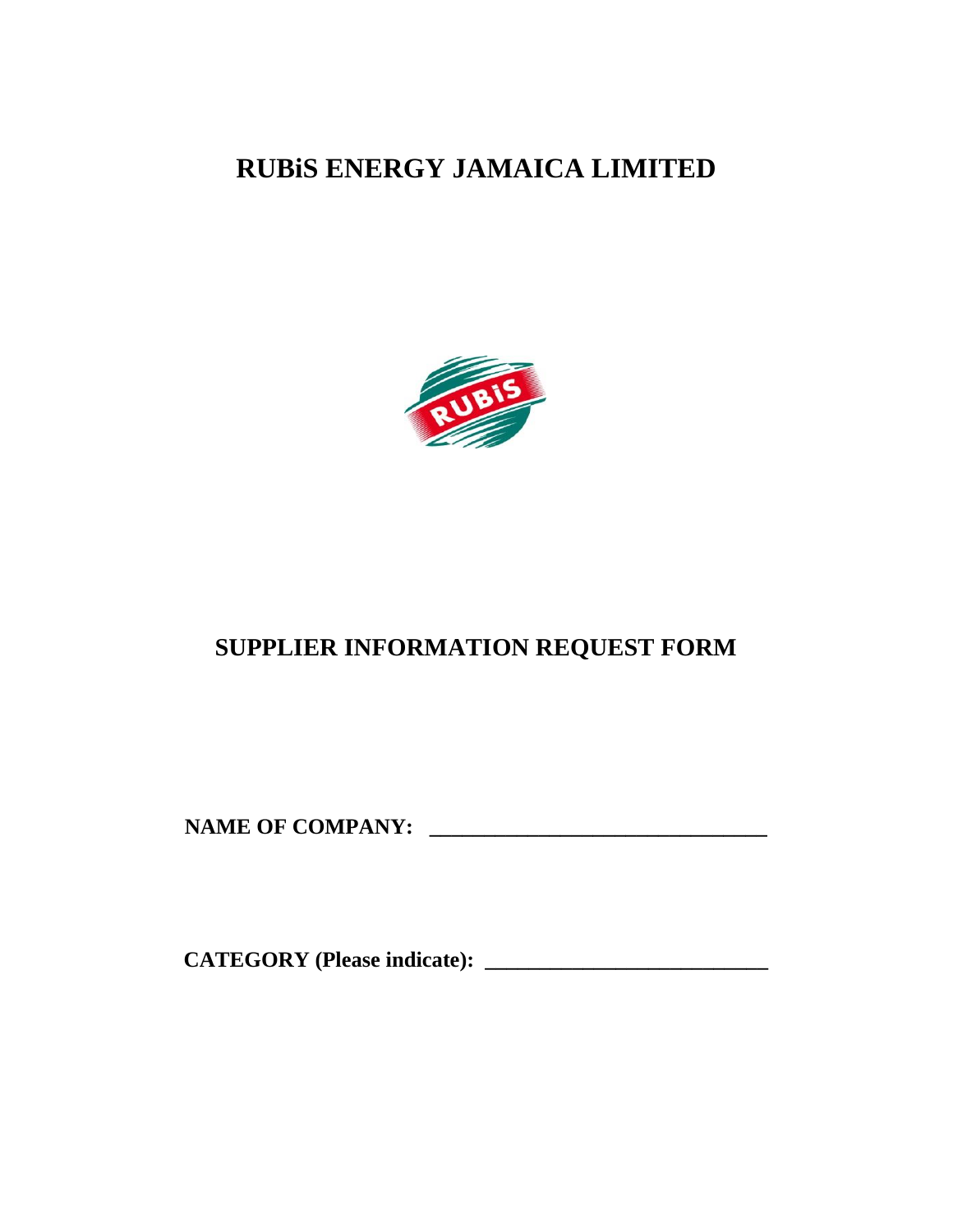**RUBiS ENERGY JAMAICA LIMITED** 



# **SUPPLIER INFORMATION REQUEST FORM**

**NAME OF COMPANY: \_\_\_\_\_\_\_\_\_\_\_\_\_\_\_\_\_\_\_\_\_\_\_\_\_\_\_\_\_\_\_** 

**CATEGORY (Please indicate): \_\_\_\_\_\_\_\_\_\_\_\_\_\_\_\_\_\_\_\_\_\_\_\_\_\_**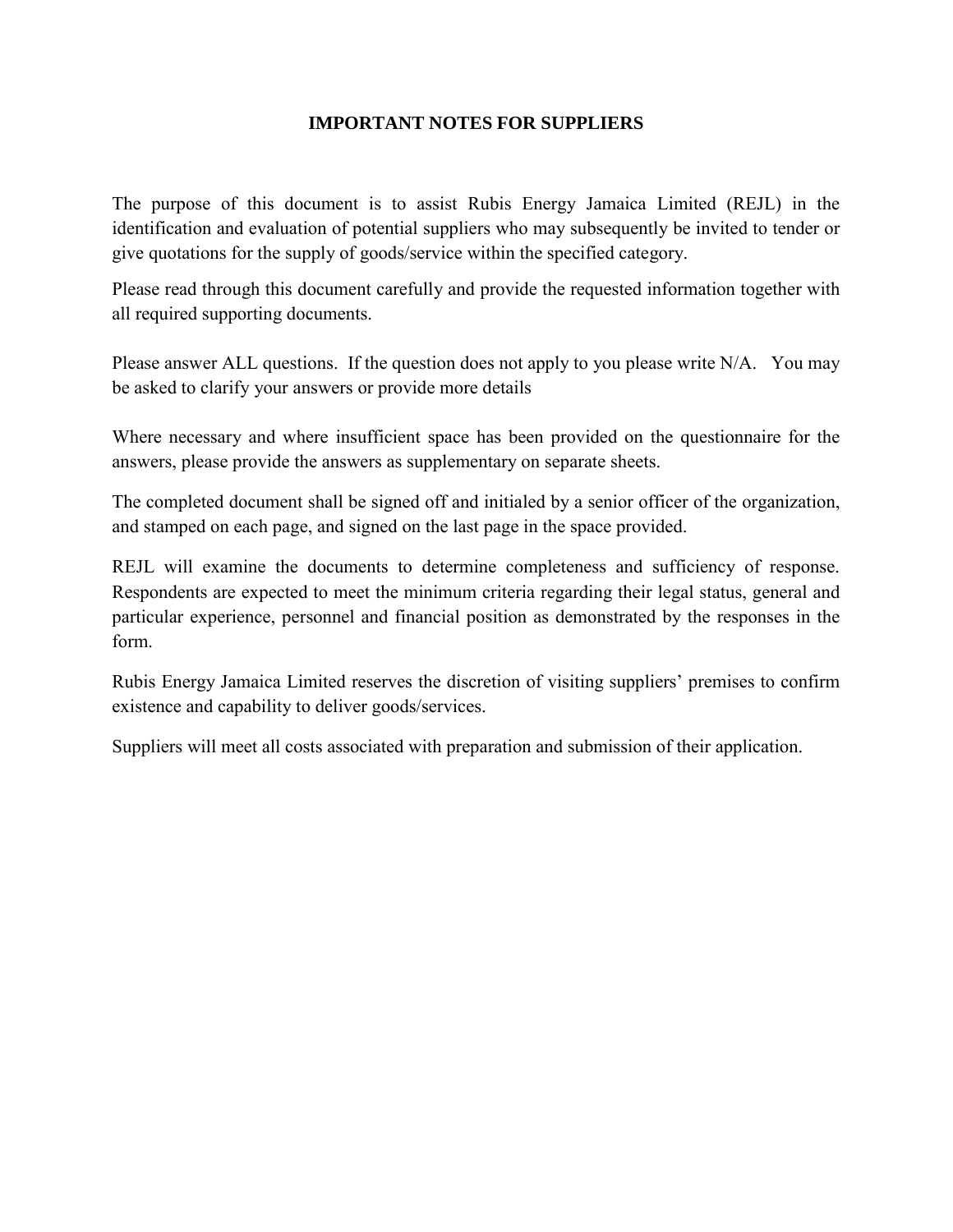## **IMPORTANT NOTES FOR SUPPLIERS**

The purpose of this document is to assist Rubis Energy Jamaica Limited (REJL) in the identification and evaluation of potential suppliers who may subsequently be invited to tender or give quotations for the supply of goods/service within the specified category.

Please read through this document carefully and provide the requested information together with all required supporting documents.

Please answer ALL questions. If the question does not apply to you please write N/A. You may be asked to clarify your answers or provide more details

Where necessary and where insufficient space has been provided on the questionnaire for the answers, please provide the answers as supplementary on separate sheets.

The completed document shall be signed off and initialed by a senior officer of the organization, and stamped on each page, and signed on the last page in the space provided.

REJL will examine the documents to determine completeness and sufficiency of response. Respondents are expected to meet the minimum criteria regarding their legal status, general and particular experience, personnel and financial position as demonstrated by the responses in the form.

Rubis Energy Jamaica Limited reserves the discretion of visiting suppliers' premises to confirm existence and capability to deliver goods/services.

Suppliers will meet all costs associated with preparation and submission of their application.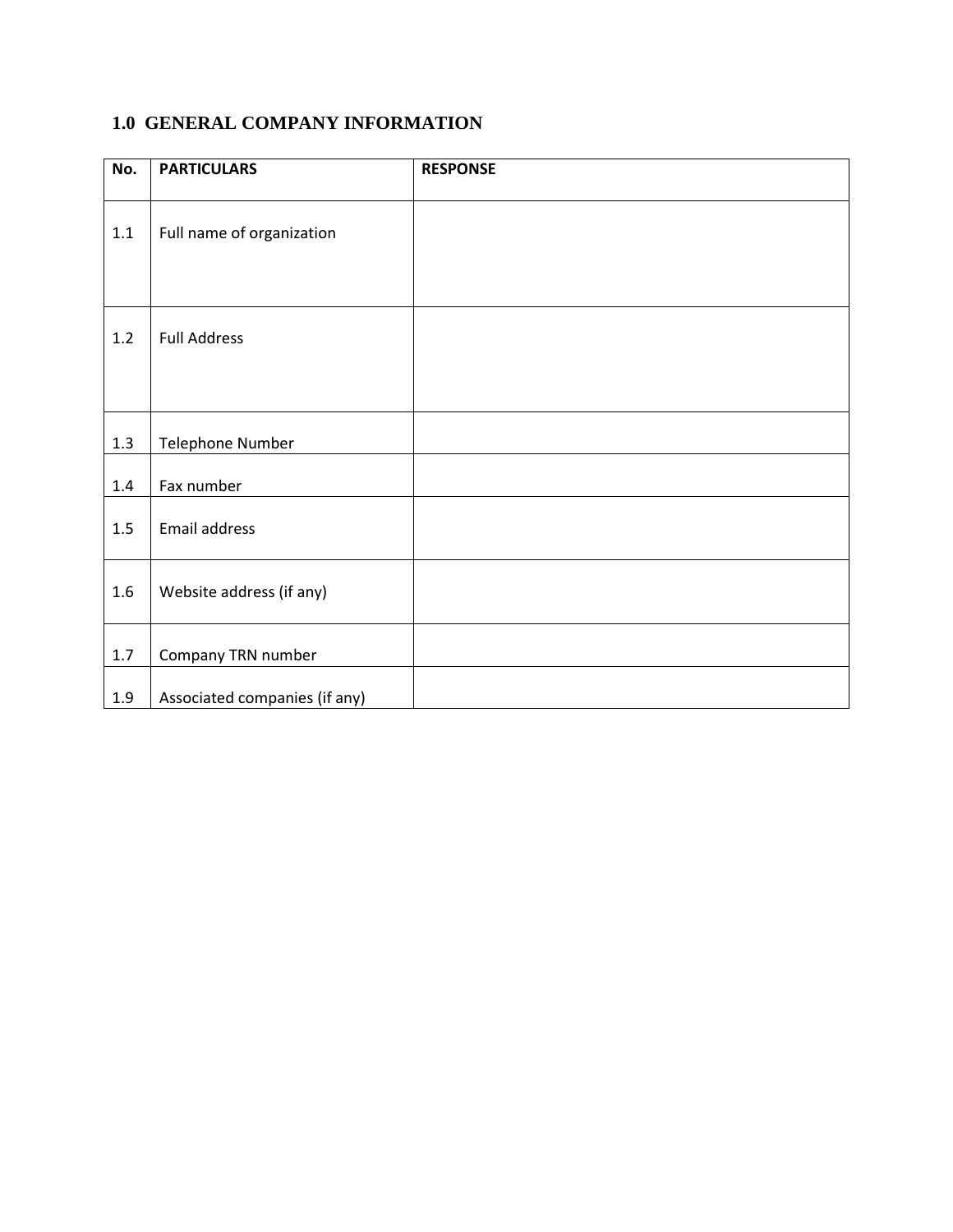# **1.0 GENERAL COMPANY INFORMATION**

| No.     | <b>PARTICULARS</b>            | <b>RESPONSE</b> |
|---------|-------------------------------|-----------------|
| 1.1     | Full name of organization     |                 |
| 1.2     | <b>Full Address</b>           |                 |
| 1.3     | Telephone Number              |                 |
| $1.4\,$ | Fax number                    |                 |
| 1.5     | Email address                 |                 |
| 1.6     | Website address (if any)      |                 |
| $1.7\,$ | Company TRN number            |                 |
| 1.9     | Associated companies (if any) |                 |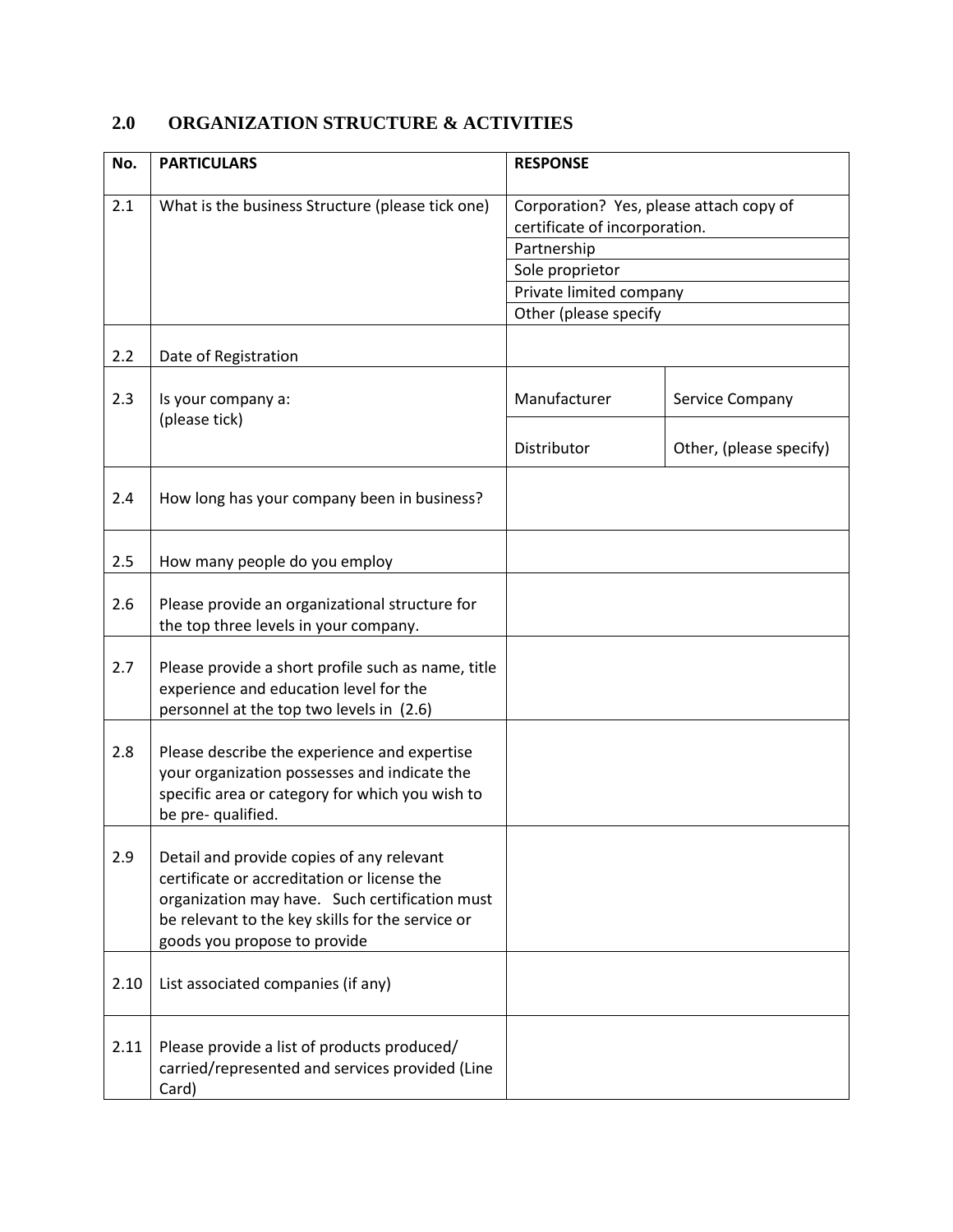# **2.0 ORGANIZATION STRUCTURE & ACTIVITIES**

| No.  | <b>PARTICULARS</b>                                                                                                                                                                                                             | <b>RESPONSE</b>                                                          |                         |  |
|------|--------------------------------------------------------------------------------------------------------------------------------------------------------------------------------------------------------------------------------|--------------------------------------------------------------------------|-------------------------|--|
| 2.1  | What is the business Structure (please tick one)                                                                                                                                                                               | Corporation? Yes, please attach copy of<br>certificate of incorporation. |                         |  |
|      |                                                                                                                                                                                                                                | Partnership                                                              |                         |  |
|      |                                                                                                                                                                                                                                | Sole proprietor                                                          |                         |  |
|      |                                                                                                                                                                                                                                | Private limited company                                                  |                         |  |
|      |                                                                                                                                                                                                                                | Other (please specify                                                    |                         |  |
| 2.2  | Date of Registration                                                                                                                                                                                                           |                                                                          |                         |  |
| 2.3  | Is your company a:<br>(please tick)                                                                                                                                                                                            | Manufacturer                                                             | Service Company         |  |
|      |                                                                                                                                                                                                                                | Distributor                                                              | Other, (please specify) |  |
| 2.4  | How long has your company been in business?                                                                                                                                                                                    |                                                                          |                         |  |
| 2.5  | How many people do you employ                                                                                                                                                                                                  |                                                                          |                         |  |
| 2.6  | Please provide an organizational structure for<br>the top three levels in your company.                                                                                                                                        |                                                                          |                         |  |
| 2.7  | Please provide a short profile such as name, title<br>experience and education level for the<br>personnel at the top two levels in (2.6)                                                                                       |                                                                          |                         |  |
| 2.8  | Please describe the experience and expertise<br>your organization possesses and indicate the<br>specific area or category for which you wish to<br>be pre- qualified.                                                          |                                                                          |                         |  |
| 2.9  | Detail and provide copies of any relevant<br>certificate or accreditation or license the<br>organization may have. Such certification must<br>be relevant to the key skills for the service or<br>goods you propose to provide |                                                                          |                         |  |
| 2.10 | List associated companies (if any)                                                                                                                                                                                             |                                                                          |                         |  |
| 2.11 | Please provide a list of products produced/<br>carried/represented and services provided (Line<br>Card)                                                                                                                        |                                                                          |                         |  |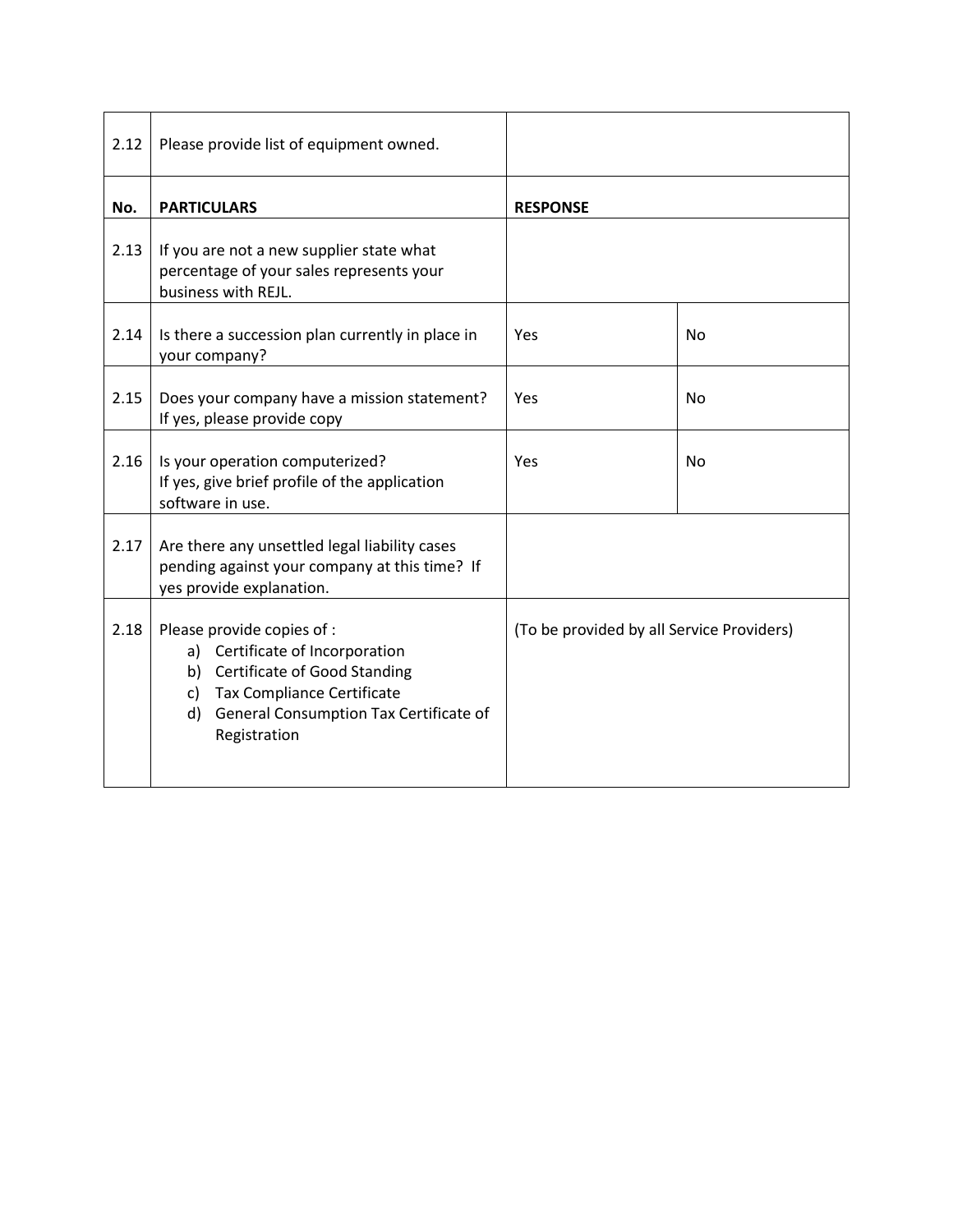| 2.12 | Please provide list of equipment owned.                                                                                                                                                        |                                           |                |
|------|------------------------------------------------------------------------------------------------------------------------------------------------------------------------------------------------|-------------------------------------------|----------------|
| No.  | <b>PARTICULARS</b>                                                                                                                                                                             | <b>RESPONSE</b>                           |                |
| 2.13 | If you are not a new supplier state what<br>percentage of your sales represents your<br>business with REJL.                                                                                    |                                           |                |
| 2.14 | Is there a succession plan currently in place in<br>your company?                                                                                                                              | Yes                                       | <b>No</b>      |
| 2.15 | Does your company have a mission statement?<br>If yes, please provide copy                                                                                                                     | Yes                                       | N <sub>o</sub> |
| 2.16 | Is your operation computerized?<br>If yes, give brief profile of the application<br>software in use.                                                                                           | Yes                                       | <b>No</b>      |
| 2.17 | Are there any unsettled legal liability cases<br>pending against your company at this time? If<br>yes provide explanation.                                                                     |                                           |                |
| 2.18 | Please provide copies of :<br>a) Certificate of Incorporation<br>b) Certificate of Good Standing<br>c) Tax Compliance Certificate<br>d) General Consumption Tax Certificate of<br>Registration | (To be provided by all Service Providers) |                |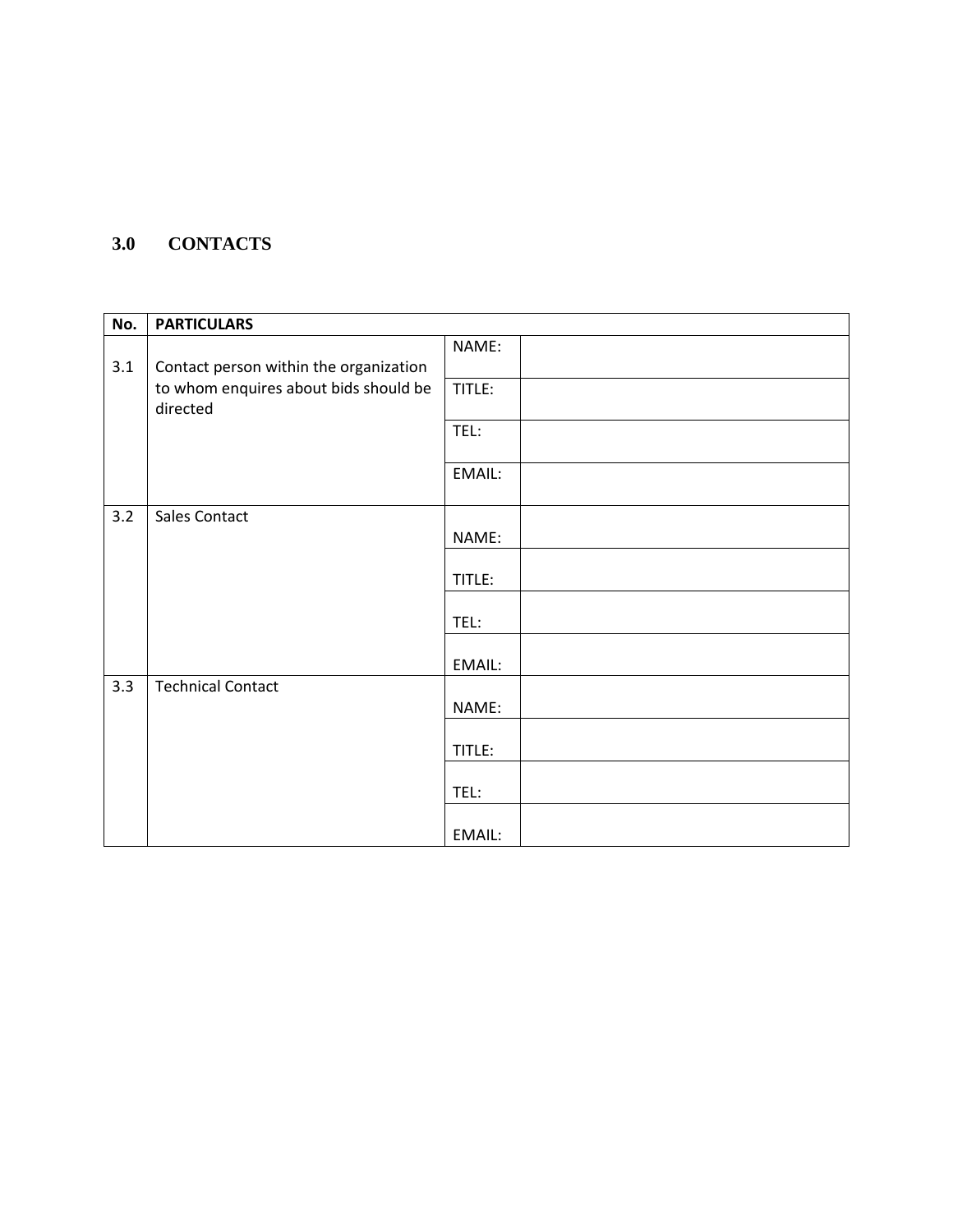## **3.0 CONTACTS**

| No. | <b>PARTICULARS</b>                                |        |
|-----|---------------------------------------------------|--------|
| 3.1 | Contact person within the organization            | NAME:  |
|     | to whom enquires about bids should be<br>directed | TITLE: |
|     |                                                   | TEL:   |
|     |                                                   | EMAIL: |
| 3.2 | Sales Contact                                     | NAME:  |
|     |                                                   | TITLE: |
|     |                                                   | TEL:   |
|     |                                                   | EMAIL: |
| 3.3 | <b>Technical Contact</b>                          | NAME:  |
|     |                                                   | TITLE: |
|     |                                                   | TEL:   |
|     |                                                   | EMAIL: |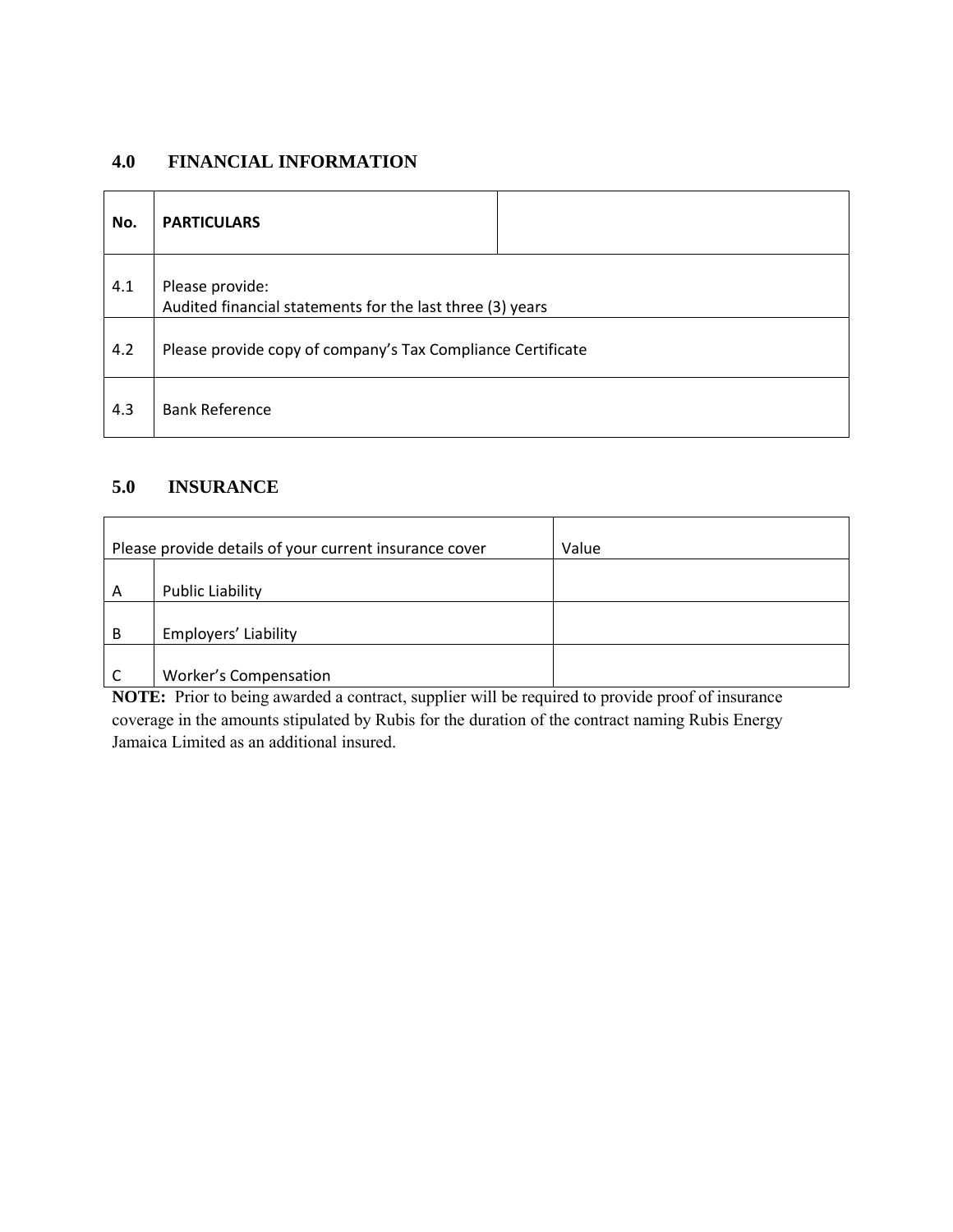## **4.0 FINANCIAL INFORMATION**

| No. | <b>PARTICULARS</b>                                                           |  |
|-----|------------------------------------------------------------------------------|--|
| 4.1 | Please provide:<br>Audited financial statements for the last three (3) years |  |
| 4.2 | Please provide copy of company's Tax Compliance Certificate                  |  |
| 4.3 | <b>Bank Reference</b>                                                        |  |

## **5.0 INSURANCE**

| Please provide details of your current insurance cover |                         | Value |
|--------------------------------------------------------|-------------------------|-------|
|                                                        |                         |       |
| A                                                      | <b>Public Liability</b> |       |
|                                                        |                         |       |
| B                                                      | Employers' Liability    |       |
|                                                        |                         |       |
|                                                        | Worker's Compensation   |       |

**NOTE:** Prior to being awarded a contract, supplier will be required to provide proof of insurance coverage in the amounts stipulated by Rubis for the duration of the contract naming Rubis Energy Jamaica Limited as an additional insured.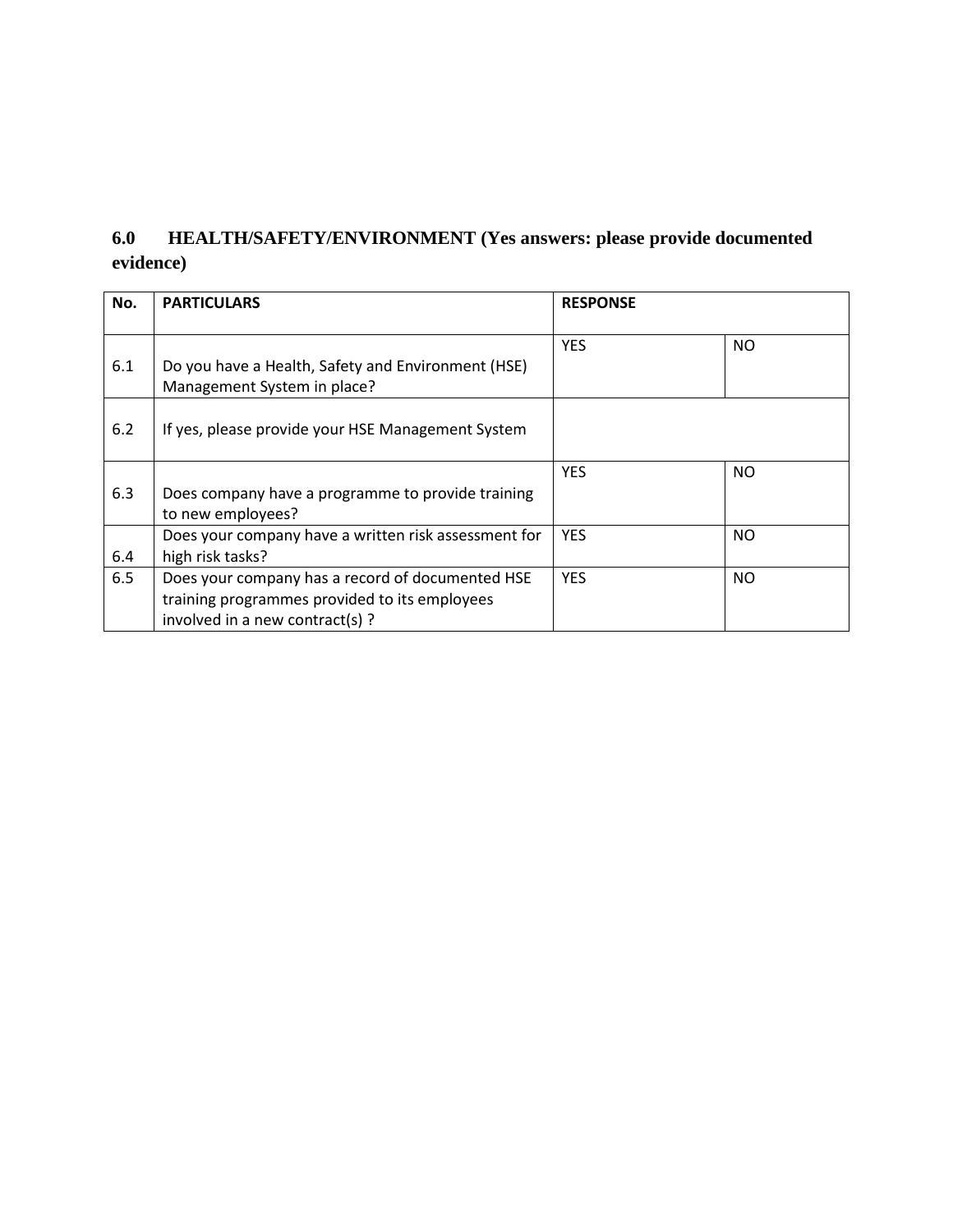# **6.0 HEALTH/SAFETY/ENVIRONMENT (Yes answers: please provide documented evidence)**

| No. | <b>PARTICULARS</b>                                                                                                                   | <b>RESPONSE</b> |           |
|-----|--------------------------------------------------------------------------------------------------------------------------------------|-----------------|-----------|
| 6.1 | Do you have a Health, Safety and Environment (HSE)<br>Management System in place?                                                    | <b>YES</b>      | <b>NO</b> |
| 6.2 | If yes, please provide your HSE Management System                                                                                    |                 |           |
| 6.3 | Does company have a programme to provide training<br>to new employees?                                                               | <b>YES</b>      | <b>NO</b> |
| 6.4 | Does your company have a written risk assessment for<br>high risk tasks?                                                             | <b>YES</b>      | <b>NO</b> |
| 6.5 | Does your company has a record of documented HSE<br>training programmes provided to its employees<br>involved in a new contract(s) ? | <b>YES</b>      | <b>NO</b> |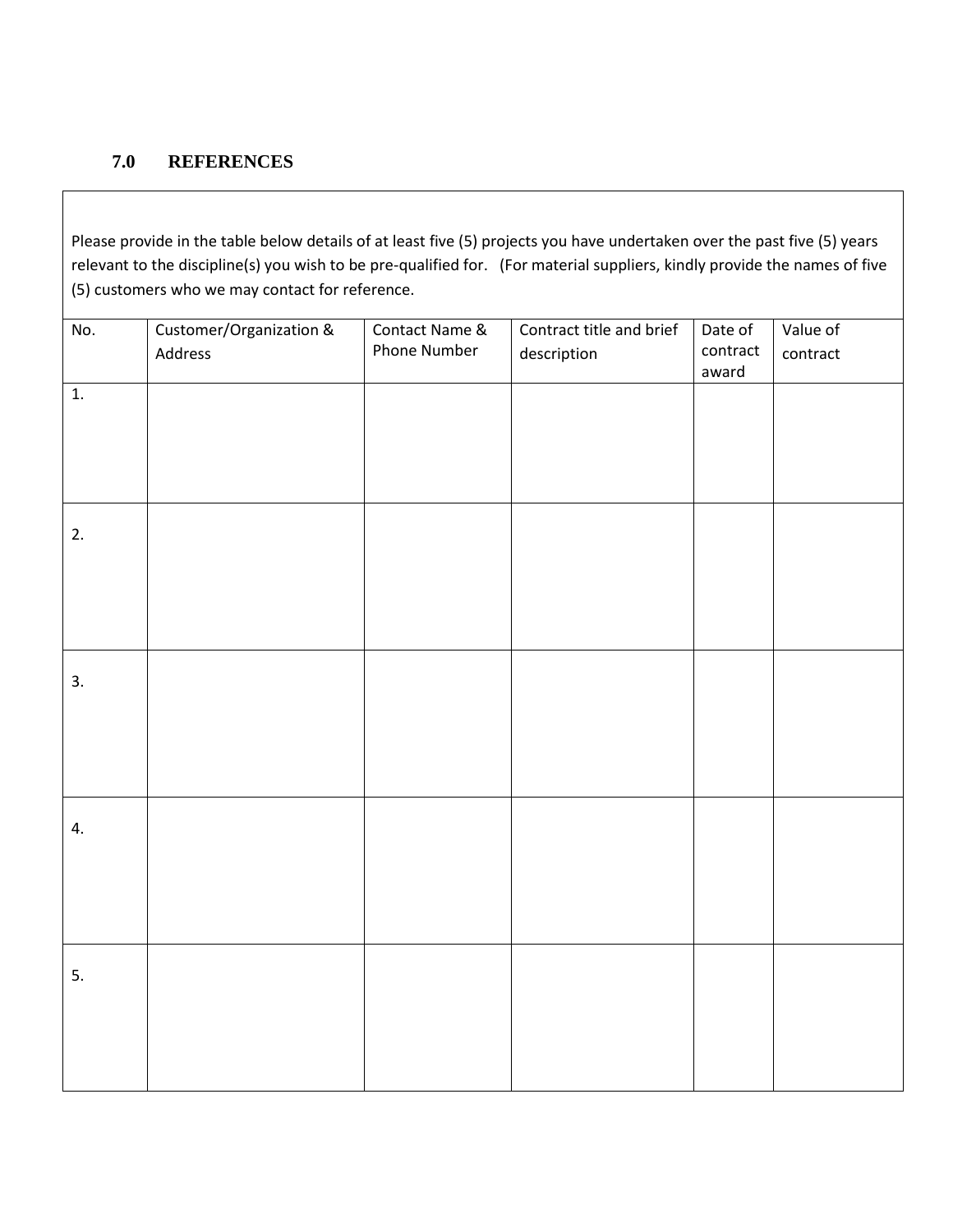#### **7.0 REFERENCES**

Please provide in the table below details of at least five (5) projects you have undertaken over the past five (5) years relevant to the discipline(s) you wish to be pre-qualified for. (For material suppliers, kindly provide the names of five (5) customers who we may contact for reference.

| No. | Customer/Organization & | Contact Name & | Contract title and brief | Date of  | Value of |
|-----|-------------------------|----------------|--------------------------|----------|----------|
|     | Address                 | Phone Number   | description              | contract | contract |
|     |                         |                |                          | award    |          |
|     |                         |                |                          |          |          |
| 1.  |                         |                |                          |          |          |
|     |                         |                |                          |          |          |
|     |                         |                |                          |          |          |
|     |                         |                |                          |          |          |
|     |                         |                |                          |          |          |
|     |                         |                |                          |          |          |
|     |                         |                |                          |          |          |
|     |                         |                |                          |          |          |
| 2.  |                         |                |                          |          |          |
|     |                         |                |                          |          |          |
|     |                         |                |                          |          |          |
|     |                         |                |                          |          |          |
|     |                         |                |                          |          |          |
|     |                         |                |                          |          |          |
|     |                         |                |                          |          |          |
|     |                         |                |                          |          |          |
| 3.  |                         |                |                          |          |          |
|     |                         |                |                          |          |          |
|     |                         |                |                          |          |          |
|     |                         |                |                          |          |          |
|     |                         |                |                          |          |          |
|     |                         |                |                          |          |          |
|     |                         |                |                          |          |          |
|     |                         |                |                          |          |          |
| 4.  |                         |                |                          |          |          |
|     |                         |                |                          |          |          |
|     |                         |                |                          |          |          |
|     |                         |                |                          |          |          |
|     |                         |                |                          |          |          |
|     |                         |                |                          |          |          |
|     |                         |                |                          |          |          |
|     |                         |                |                          |          |          |
| 5.  |                         |                |                          |          |          |
|     |                         |                |                          |          |          |
|     |                         |                |                          |          |          |
|     |                         |                |                          |          |          |
|     |                         |                |                          |          |          |
|     |                         |                |                          |          |          |
|     |                         |                |                          |          |          |